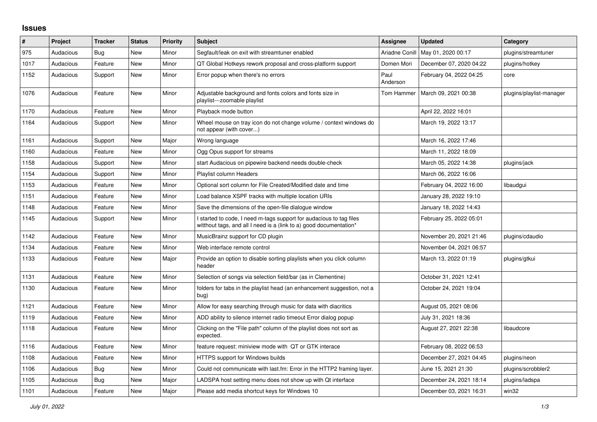## **Issues**

| $\sharp$ | Project   | <b>Tracker</b> | <b>Status</b> | <b>Priority</b> | <b>Subject</b>                                                                                                                            | <b>Assignee</b>  | <b>Updated</b>          | Category                 |
|----------|-----------|----------------|---------------|-----------------|-------------------------------------------------------------------------------------------------------------------------------------------|------------------|-------------------------|--------------------------|
| 975      | Audacious | Bug            | New           | Minor           | Segfault/leak on exit with streamtuner enabled                                                                                            | Ariadne Conill   | May 01, 2020 00:17      | plugins/streamtuner      |
| 1017     | Audacious | Feature        | <b>New</b>    | Minor           | QT Global Hotkeys rework proposal and cross-platform support                                                                              | Domen Mori       | December 07, 2020 04:22 | plugins/hotkey           |
| 1152     | Audacious | Support        | <b>New</b>    | Minor           | Error popup when there's no errors                                                                                                        | Paul<br>Anderson | February 04, 2022 04:25 | core                     |
| 1076     | Audacious | Feature        | <b>New</b>    | Minor           | Adjustable background and fonts colors and fonts size in<br>playlist---zoomable playlist                                                  | Tom Hammer       | March 09, 2021 00:38    | plugins/playlist-manager |
| 1170     | Audacious | Feature        | <b>New</b>    | Minor           | Playback mode button                                                                                                                      |                  | April 22, 2022 16:01    |                          |
| 1164     | Audacious | Support        | New           | Minor           | Wheel mouse on tray icon do not change volume / context windows do<br>not appear (with cover)                                             |                  | March 19, 2022 13:17    |                          |
| 1161     | Audacious | Support        | New           | Major           | Wrong language                                                                                                                            |                  | March 16, 2022 17:46    |                          |
| 1160     | Audacious | Feature        | <b>New</b>    | Minor           | Ogg Opus support for streams                                                                                                              |                  | March 11, 2022 18:09    |                          |
| 1158     | Audacious | Support        | New           | Minor           | start Audacious on pipewire backend needs double-check                                                                                    |                  | March 05, 2022 14:38    | plugins/jack             |
| 1154     | Audacious | Support        | <b>New</b>    | Minor           | Playlist column Headers                                                                                                                   |                  | March 06, 2022 16:06    |                          |
| 1153     | Audacious | Feature        | New           | Minor           | Optional sort column for File Created/Modified date and time                                                                              |                  | February 04, 2022 16:00 | libaudqui                |
| 1151     | Audacious | Feature        | <b>New</b>    | Minor           | Load balance XSPF tracks with multiple location URIs                                                                                      |                  | January 28, 2022 19:10  |                          |
| 1148     | Audacious | Feature        | New           | Minor           | Save the dimensions of the open-file dialogue window                                                                                      |                  | January 18, 2022 14:43  |                          |
| 1145     | Audacious | Support        | New           | Minor           | I started to code, I need m-tags support for audacious to tag files<br>witthout tags, and all I need is a (link to a) good documentation* |                  | February 25, 2022 05:01 |                          |
| 1142     | Audacious | Feature        | <b>New</b>    | Minor           | MusicBrainz support for CD plugin                                                                                                         |                  | November 20, 2021 21:46 | plugins/cdaudio          |
| 1134     | Audacious | Feature        | <b>New</b>    | Minor           | Web interface remote control                                                                                                              |                  | November 04, 2021 06:57 |                          |
| 1133     | Audacious | Feature        | New           | Major           | Provide an option to disable sorting playlists when you click column<br>header                                                            |                  | March 13, 2022 01:19    | plugins/gtkui            |
| 1131     | Audacious | Feature        | New           | Minor           | Selection of songs via selection field/bar (as in Clementine)                                                                             |                  | October 31, 2021 12:41  |                          |
| 1130     | Audacious | Feature        | <b>New</b>    | Minor           | folders for tabs in the playlist head (an enhancement suggestion, not a<br>bug)                                                           |                  | October 24, 2021 19:04  |                          |
| 1121     | Audacious | Feature        | <b>New</b>    | Minor           | Allow for easy searching through music for data with diacritics                                                                           |                  | August 05, 2021 08:06   |                          |
| 1119     | Audacious | Feature        | New           | Minor           | ADD ability to silence internet radio timeout Error dialog popup                                                                          |                  | July 31, 2021 18:36     |                          |
| 1118     | Audacious | Feature        | New           | Minor           | Clicking on the "File path" column of the playlist does not sort as<br>expected.                                                          |                  | August 27, 2021 22:38   | libaudcore               |
| 1116     | Audacious | Feature        | New           | Minor           | feature request: miniview mode with QT or GTK interace                                                                                    |                  | February 08, 2022 06:53 |                          |
| 1108     | Audacious | Feature        | New           | Minor           | HTTPS support for Windows builds                                                                                                          |                  | December 27, 2021 04:45 | plugins/neon             |
| 1106     | Audacious | Bug            | <b>New</b>    | Minor           | Could not communicate with last.fm: Error in the HTTP2 framing layer.                                                                     |                  | June 15, 2021 21:30     | plugins/scrobbler2       |
| 1105     | Audacious | Bug            | <b>New</b>    | Major           | LADSPA host setting menu does not show up with Qt interface                                                                               |                  | December 24, 2021 18:14 | plugins/ladspa           |
| 1101     | Audacious | Feature        | <b>New</b>    | Major           | Please add media shortcut keys for Windows 10                                                                                             |                  | December 03, 2021 16:31 | win32                    |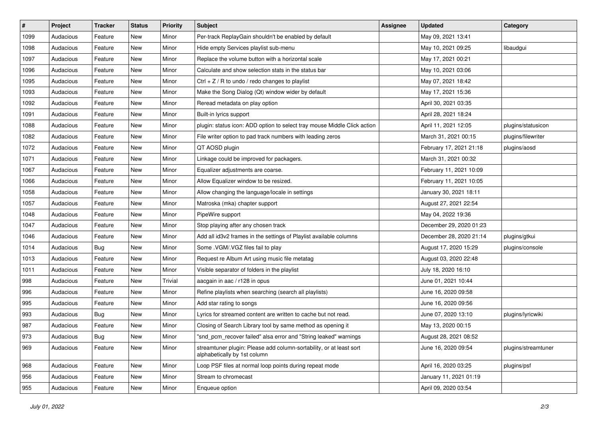| $\vert$ # | Project   | <b>Tracker</b> | <b>Status</b> | <b>Priority</b> | <b>Subject</b>                                                                                      | <b>Assignee</b> | <b>Updated</b>          | Category            |
|-----------|-----------|----------------|---------------|-----------------|-----------------------------------------------------------------------------------------------------|-----------------|-------------------------|---------------------|
| 1099      | Audacious | Feature        | New           | Minor           | Per-track ReplayGain shouldn't be enabled by default                                                |                 | May 09, 2021 13:41      |                     |
| 1098      | Audacious | Feature        | New           | Minor           | Hide empty Services playlist sub-menu                                                               |                 | May 10, 2021 09:25      | libaudgui           |
| 1097      | Audacious | Feature        | New           | Minor           | Replace the volume button with a horizontal scale                                                   |                 | May 17, 2021 00:21      |                     |
| 1096      | Audacious | Feature        | New           | Minor           | Calculate and show selection stats in the status bar                                                |                 | May 10, 2021 03:06      |                     |
| 1095      | Audacious | Feature        | New           | Minor           | Ctrl $+$ Z / R to undo / redo changes to playlist                                                   |                 | May 07, 2021 18:42      |                     |
| 1093      | Audacious | Feature        | New           | Minor           | Make the Song Dialog (Qt) window wider by default                                                   |                 | May 17, 2021 15:36      |                     |
| 1092      | Audacious | Feature        | New           | Minor           | Reread metadata on play option                                                                      |                 | April 30, 2021 03:35    |                     |
| 1091      | Audacious | Feature        | New           | Minor           | Built-in lyrics support                                                                             |                 | April 28, 2021 18:24    |                     |
| 1088      | Audacious | Feature        | New           | Minor           | plugin: status icon: ADD option to select tray mouse Middle Click action                            |                 | April 11, 2021 12:05    | plugins/statusicon  |
| 1082      | Audacious | Feature        | <b>New</b>    | Minor           | File writer option to pad track numbers with leading zeros                                          |                 | March 31, 2021 00:15    | plugins/filewriter  |
| 1072      | Audacious | Feature        | New           | Minor           | QT AOSD plugin                                                                                      |                 | February 17, 2021 21:18 | plugins/aosd        |
| 1071      | Audacious | Feature        | New           | Minor           | Linkage could be improved for packagers.                                                            |                 | March 31, 2021 00:32    |                     |
| 1067      | Audacious | Feature        | New           | Minor           | Equalizer adjustments are coarse.                                                                   |                 | February 11, 2021 10:09 |                     |
| 1066      | Audacious | Feature        | New           | Minor           | Allow Equalizer window to be resized.                                                               |                 | February 11, 2021 10:05 |                     |
| 1058      | Audacious | Feature        | New           | Minor           | Allow changing the language/locale in settings                                                      |                 | January 30, 2021 18:11  |                     |
| 1057      | Audacious | Feature        | New           | Minor           | Matroska (mka) chapter support                                                                      |                 | August 27, 2021 22:54   |                     |
| 1048      | Audacious | Feature        | New           | Minor           | PipeWire support                                                                                    |                 | May 04, 2022 19:36      |                     |
| 1047      | Audacious | Feature        | New           | Minor           | Stop playing after any chosen track                                                                 |                 | December 29, 2020 01:23 |                     |
| 1046      | Audacious | Feature        | New           | Minor           | Add all id3v2 frames in the settings of Playlist available columns                                  |                 | December 28, 2020 21:14 | plugins/gtkui       |
| 1014      | Audacious | <b>Bug</b>     | New           | Minor           | Some .VGM/.VGZ files fail to play                                                                   |                 | August 17, 2020 15:29   | plugins/console     |
| 1013      | Audacious | Feature        | New           | Minor           | Request re Album Art using music file metatag                                                       |                 | August 03, 2020 22:48   |                     |
| 1011      | Audacious | Feature        | New           | Minor           | Visible separator of folders in the playlist                                                        |                 | July 18, 2020 16:10     |                     |
| 998       | Audacious | Feature        | New           | Trivial         | aacgain in aac / r128 in opus                                                                       |                 | June 01, 2021 10:44     |                     |
| 996       | Audacious | Feature        | New           | Minor           | Refine playlists when searching (search all playlists)                                              |                 | June 16, 2020 09:58     |                     |
| 995       | Audacious | Feature        | New           | Minor           | Add star rating to songs                                                                            |                 | June 16, 2020 09:56     |                     |
| 993       | Audacious | Bug            | New           | Minor           | Lyrics for streamed content are written to cache but not read.                                      |                 | June 07, 2020 13:10     | plugins/lyricwiki   |
| 987       | Audacious | Feature        | New           | Minor           | Closing of Search Library tool by same method as opening it                                         |                 | May 13, 2020 00:15      |                     |
| 973       | Audacious | Bug            | New           | Minor           | "snd_pcm_recover failed" alsa error and "String leaked" warnings                                    |                 | August 28, 2021 08:52   |                     |
| 969       | Audacious | Feature        | New           | Minor           | streamtuner plugin: Please add column-sortability, or at least sort<br>alphabetically by 1st column |                 | June 16, 2020 09:54     | plugins/streamtuner |
| 968       | Audacious | Feature        | New           | Minor           | Loop PSF files at normal loop points during repeat mode                                             |                 | April 16, 2020 03:25    | plugins/psf         |
| 956       | Audacious | Feature        | New           | Minor           | Stream to chromecast                                                                                |                 | January 11, 2021 01:19  |                     |
| 955       | Audacious | Feature        | New           | Minor           | Enqueue option                                                                                      |                 | April 09, 2020 03:54    |                     |